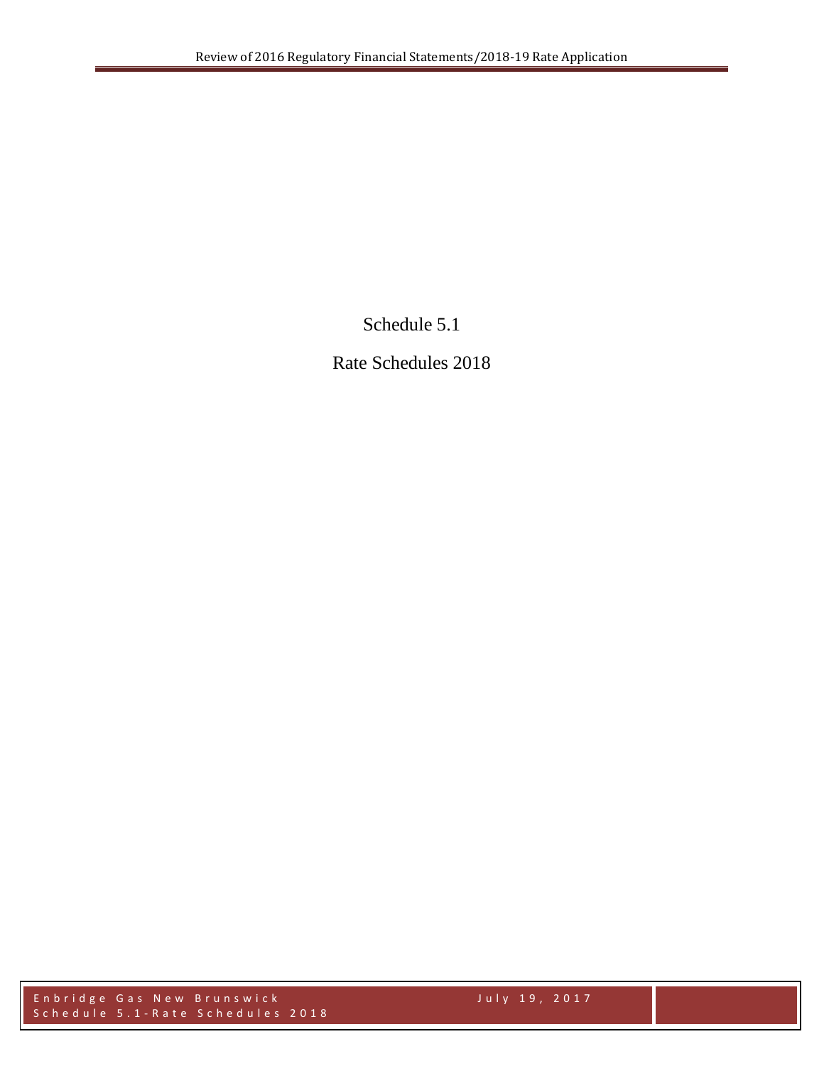Schedule 5.1

Rate Schedules 2018

Enbridge Gas New Brunswick July 19, 2017 Schedule 5 . 1 - Rate Schedules 2018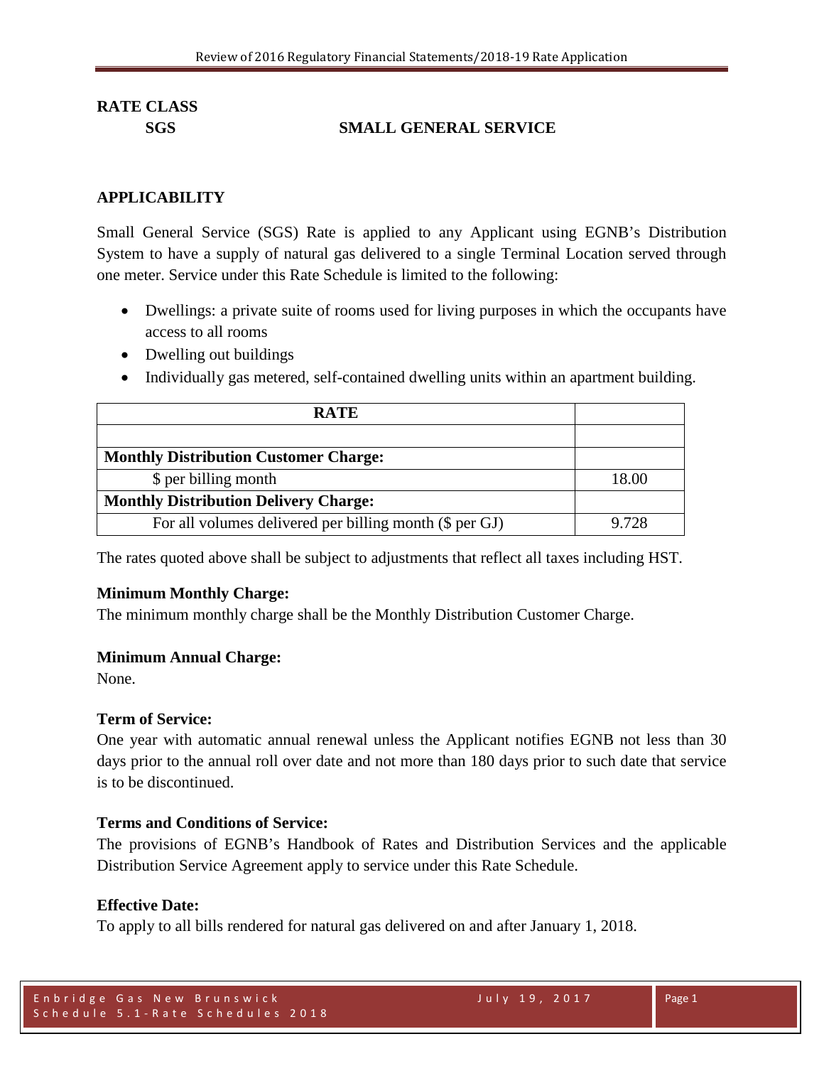## **SGS SMALL GENERAL SERVICE**

#### **APPLICABILITY**

Small General Service (SGS) Rate is applied to any Applicant using EGNB's Distribution System to have a supply of natural gas delivered to a single Terminal Location served through one meter. Service under this Rate Schedule is limited to the following:

- Dwellings: a private suite of rooms used for living purposes in which the occupants have access to all rooms
- Dwelling out buildings
- Individually gas metered, self-contained dwelling units within an apartment building.

| <b>RATE</b>                                             |       |
|---------------------------------------------------------|-------|
|                                                         |       |
| <b>Monthly Distribution Customer Charge:</b>            |       |
| \$ per billing month                                    | 18.00 |
| <b>Monthly Distribution Delivery Charge:</b>            |       |
| For all volumes delivered per billing month (\$ per GJ) | 9.728 |

The rates quoted above shall be subject to adjustments that reflect all taxes including HST.

#### **Minimum Monthly Charge:**

The minimum monthly charge shall be the Monthly Distribution Customer Charge.

#### **Minimum Annual Charge:**

None.

#### **Term of Service:**

One year with automatic annual renewal unless the Applicant notifies EGNB not less than 30 days prior to the annual roll over date and not more than 180 days prior to such date that service is to be discontinued.

## **Terms and Conditions of Service:**

The provisions of EGNB's Handbook of Rates and Distribution Services and the applicable Distribution Service Agreement apply to service under this Rate Schedule.

#### **Effective Date:**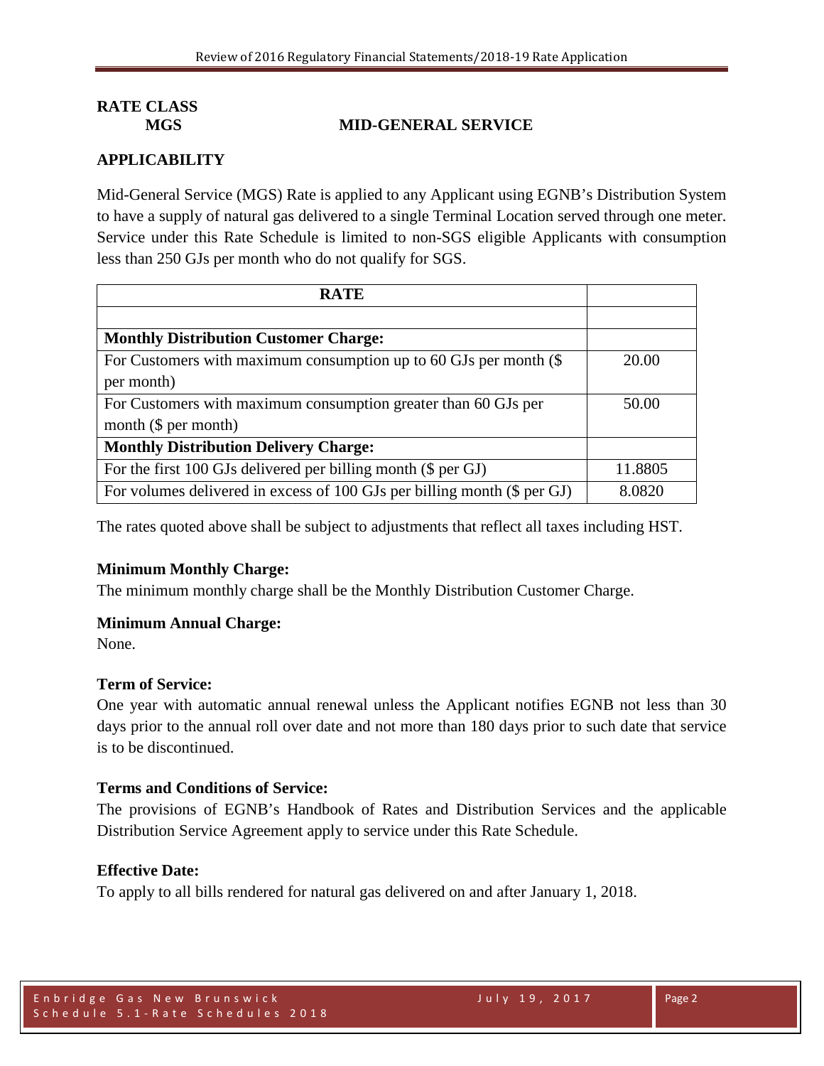### **MGS MID-GENERAL SERVICE**

## **APPLICABILITY**

Mid-General Service (MGS) Rate is applied to any Applicant using EGNB's Distribution System to have a supply of natural gas delivered to a single Terminal Location served through one meter. Service under this Rate Schedule is limited to non-SGS eligible Applicants with consumption less than 250 GJs per month who do not qualify for SGS.

| <b>RATE</b>                                                              |         |
|--------------------------------------------------------------------------|---------|
|                                                                          |         |
| <b>Monthly Distribution Customer Charge:</b>                             |         |
| For Customers with maximum consumption up to 60 GJs per month $(\$$      | 20.00   |
| per month)                                                               |         |
| For Customers with maximum consumption greater than 60 GJs per           | 50.00   |
| month $(\$ per month)$                                                   |         |
| <b>Monthly Distribution Delivery Charge:</b>                             |         |
| For the first 100 GJs delivered per billing month (\$ per GJ)            | 11.8805 |
| For volumes delivered in excess of 100 GJs per billing month (\$ per GJ) | 8.0820  |

The rates quoted above shall be subject to adjustments that reflect all taxes including HST.

#### **Minimum Monthly Charge:**

The minimum monthly charge shall be the Monthly Distribution Customer Charge.

#### **Minimum Annual Charge:**

None.

#### **Term of Service:**

One year with automatic annual renewal unless the Applicant notifies EGNB not less than 30 days prior to the annual roll over date and not more than 180 days prior to such date that service is to be discontinued.

#### **Terms and Conditions of Service:**

The provisions of EGNB's Handbook of Rates and Distribution Services and the applicable Distribution Service Agreement apply to service under this Rate Schedule.

#### **Effective Date:**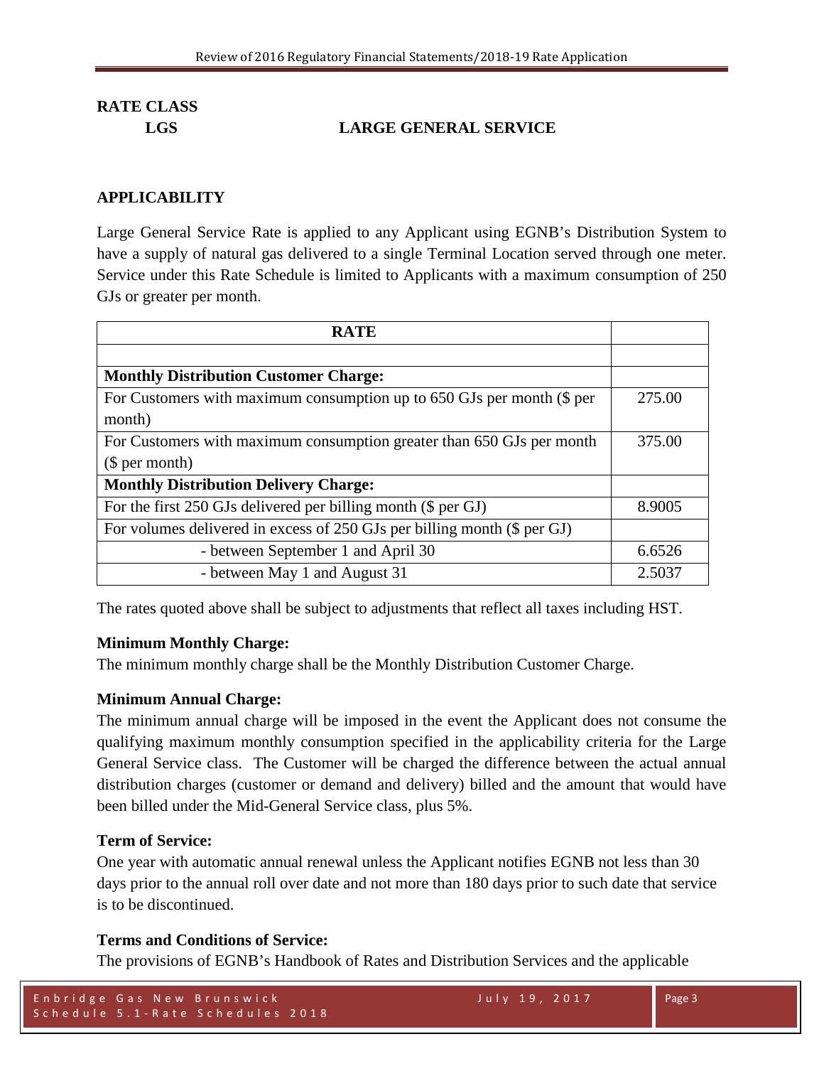## **LGS LARGE GENERAL SERVICE**

## **APPLICABILITY**

Large General Service Rate is applied to any Applicant using EGNB's Distribution System to have a supply of natural gas delivered to a single Terminal Location served through one meter. Service under this Rate Schedule is limited to Applicants with a maximum consumption of 250 GJs or greater per month.

| <b>RATE</b>                                                              |        |
|--------------------------------------------------------------------------|--------|
|                                                                          |        |
| <b>Monthly Distribution Customer Charge:</b>                             |        |
| For Customers with maximum consumption up to 650 GJs per month (\$ per   | 275.00 |
| month)                                                                   |        |
| For Customers with maximum consumption greater than 650 GJs per month    | 375.00 |
| \$per month)                                                             |        |
| <b>Monthly Distribution Delivery Charge:</b>                             |        |
| For the first 250 GJs delivered per billing month (\$ per GJ)            | 8.9005 |
| For volumes delivered in excess of 250 GJs per billing month (\$ per GJ) |        |
| - between September 1 and April 30                                       | 6.6526 |
| - between May 1 and August 31                                            | 2.5037 |

The rates quoted above shall be subject to adjustments that reflect all taxes including HST.

#### **Minimum Monthly Charge:**

The minimum monthly charge shall be the Monthly Distribution Customer Charge.

## **Minimum Annual Charge:**

The minimum annual charge will be imposed in the event the Applicant does not consume the qualifying maximum monthly consumption specified in the applicability criteria for the Large General Service class. The Customer will be charged the difference between the actual annual distribution charges (customer or demand and delivery) billed and the amount that would have been billed under the Mid-General Service class, plus 5%.

#### **Term of Service:**

One year with automatic annual renewal unless the Applicant notifies EGNB not less than 30 days prior to the annual roll over date and not more than 180 days prior to such date that service is to be discontinued.

## **Terms and Conditions of Service:**

The provisions of EGNB's Handbook of Rates and Distribution Services and the applicable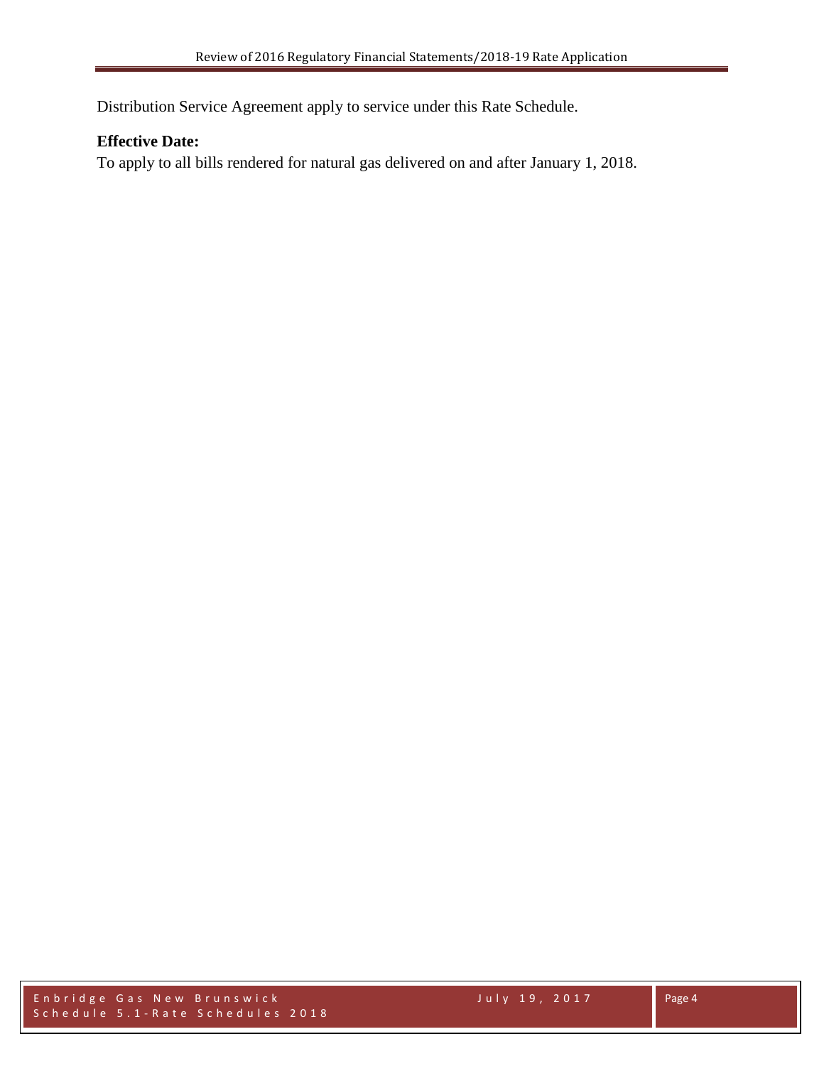Distribution Service Agreement apply to service under this Rate Schedule.

## **Effective Date:**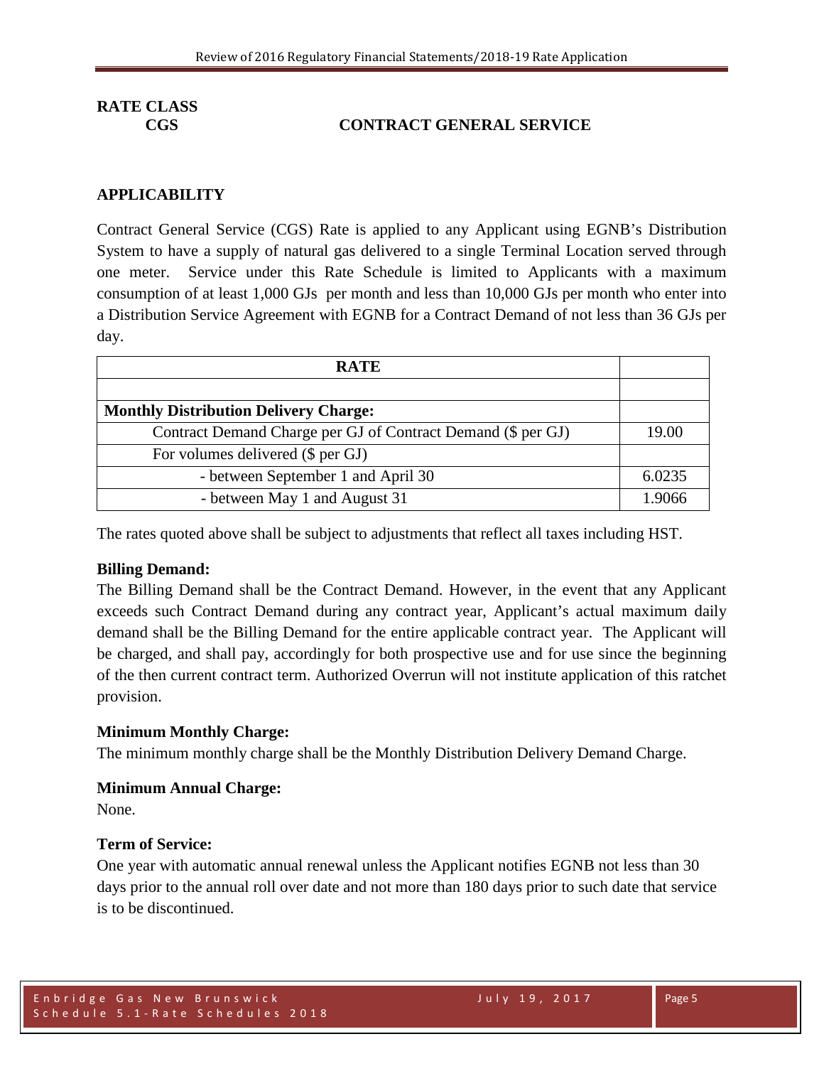## **CGS CONTRACT GENERAL SERVICE**

#### **APPLICABILITY**

Contract General Service (CGS) Rate is applied to any Applicant using EGNB's Distribution System to have a supply of natural gas delivered to a single Terminal Location served through one meter. Service under this Rate Schedule is limited to Applicants with a maximum consumption of at least 1,000 GJs per month and less than 10,000 GJs per month who enter into a Distribution Service Agreement with EGNB for a Contract Demand of not less than 36 GJs per day.

| <b>RATE</b>                                                  |        |
|--------------------------------------------------------------|--------|
|                                                              |        |
| <b>Monthly Distribution Delivery Charge:</b>                 |        |
| Contract Demand Charge per GJ of Contract Demand (\$ per GJ) | 19.00  |
| For volumes delivered (\$ per GJ)                            |        |
| - between September 1 and April 30                           | 6.0235 |
| - between May 1 and August 31                                | 1.9066 |

The rates quoted above shall be subject to adjustments that reflect all taxes including HST.

#### **Billing Demand:**

The Billing Demand shall be the Contract Demand. However, in the event that any Applicant exceeds such Contract Demand during any contract year, Applicant's actual maximum daily demand shall be the Billing Demand for the entire applicable contract year. The Applicant will be charged, and shall pay, accordingly for both prospective use and for use since the beginning of the then current contract term. Authorized Overrun will not institute application of this ratchet provision.

#### **Minimum Monthly Charge:**

The minimum monthly charge shall be the Monthly Distribution Delivery Demand Charge.

#### **Minimum Annual Charge:**

None.

#### **Term of Service:**

One year with automatic annual renewal unless the Applicant notifies EGNB not less than 30 days prior to the annual roll over date and not more than 180 days prior to such date that service is to be discontinued.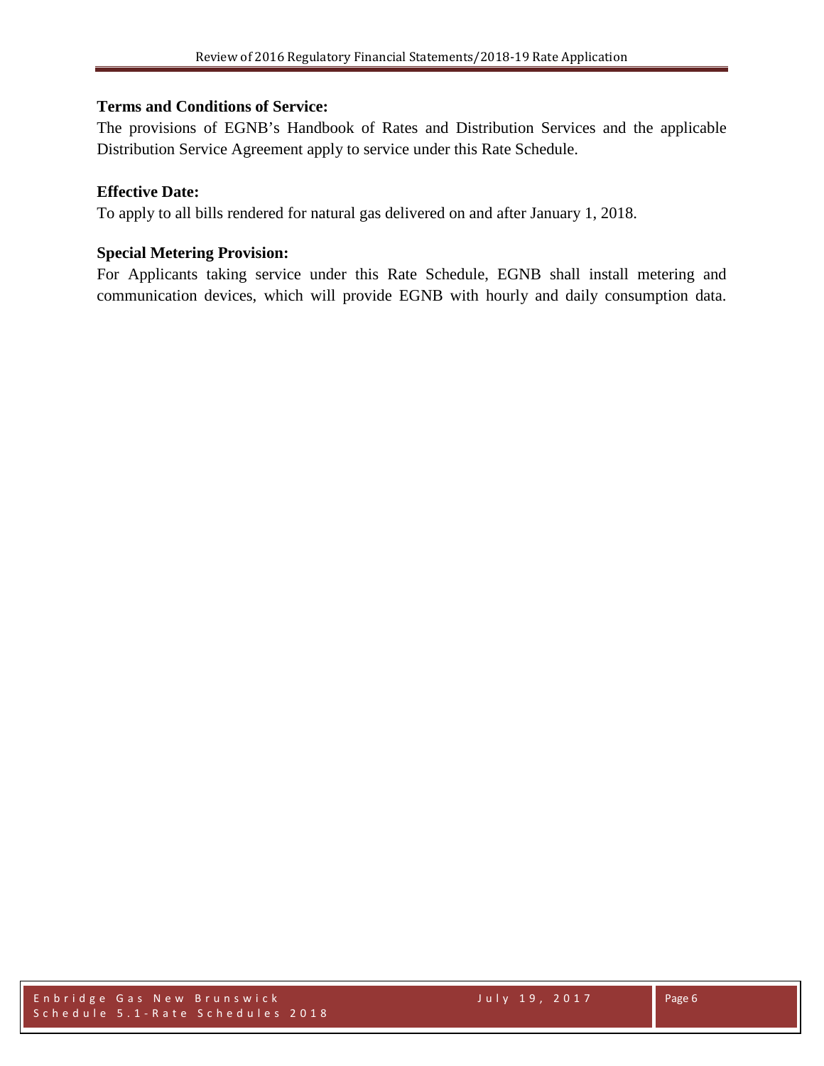### **Terms and Conditions of Service:**

The provisions of EGNB's Handbook of Rates and Distribution Services and the applicable Distribution Service Agreement apply to service under this Rate Schedule.

## **Effective Date:**

To apply to all bills rendered for natural gas delivered on and after January 1, 2018.

## **Special Metering Provision:**

For Applicants taking service under this Rate Schedule, EGNB shall install metering and communication devices, which will provide EGNB with hourly and daily consumption data.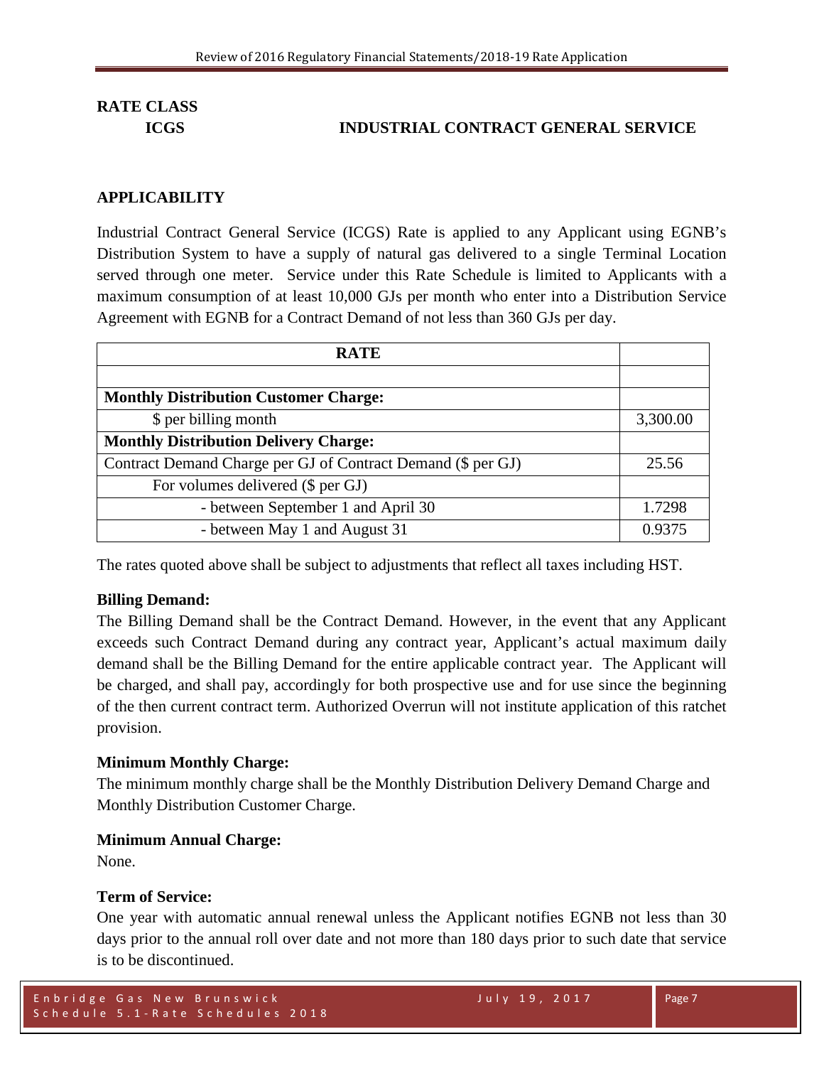### **ICGS INDUSTRIAL CONTRACT GENERAL SERVICE**

#### **APPLICABILITY**

Industrial Contract General Service (ICGS) Rate is applied to any Applicant using EGNB's Distribution System to have a supply of natural gas delivered to a single Terminal Location served through one meter. Service under this Rate Schedule is limited to Applicants with a maximum consumption of at least 10,000 GJs per month who enter into a Distribution Service Agreement with EGNB for a Contract Demand of not less than 360 GJs per day.

| <b>RATE</b>                                                  |          |
|--------------------------------------------------------------|----------|
|                                                              |          |
| <b>Monthly Distribution Customer Charge:</b>                 |          |
| \$ per billing month                                         | 3,300.00 |
| <b>Monthly Distribution Delivery Charge:</b>                 |          |
| Contract Demand Charge per GJ of Contract Demand (\$ per GJ) | 25.56    |
| For volumes delivered (\$ per GJ)                            |          |
| - between September 1 and April 30                           | 1.7298   |
| - between May 1 and August 31                                | 0.9375   |

The rates quoted above shall be subject to adjustments that reflect all taxes including HST.

#### **Billing Demand:**

The Billing Demand shall be the Contract Demand. However, in the event that any Applicant exceeds such Contract Demand during any contract year, Applicant's actual maximum daily demand shall be the Billing Demand for the entire applicable contract year. The Applicant will be charged, and shall pay, accordingly for both prospective use and for use since the beginning of the then current contract term. Authorized Overrun will not institute application of this ratchet provision.

#### **Minimum Monthly Charge:**

The minimum monthly charge shall be the Monthly Distribution Delivery Demand Charge and Monthly Distribution Customer Charge.

#### **Minimum Annual Charge:**

None.

#### **Term of Service:**

One year with automatic annual renewal unless the Applicant notifies EGNB not less than 30 days prior to the annual roll over date and not more than 180 days prior to such date that service is to be discontinued.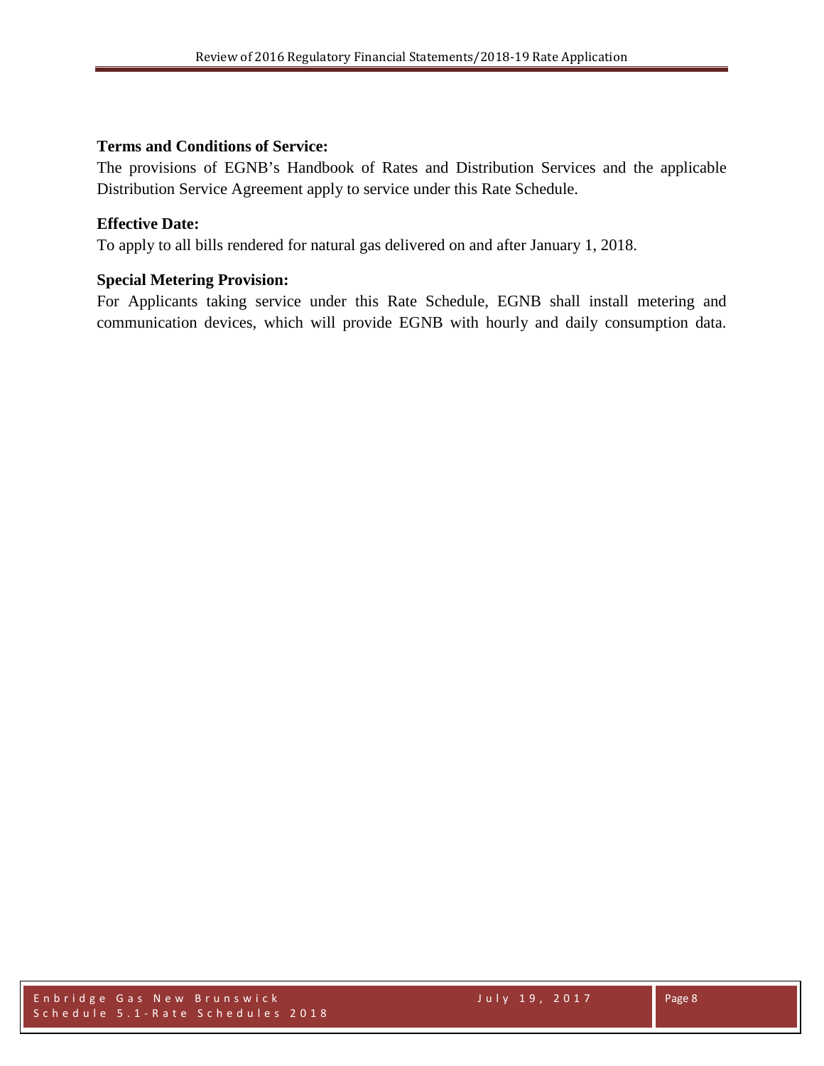## **Terms and Conditions of Service:**

The provisions of EGNB's Handbook of Rates and Distribution Services and the applicable Distribution Service Agreement apply to service under this Rate Schedule.

## **Effective Date:**

To apply to all bills rendered for natural gas delivered on and after January 1, 2018.

## **Special Metering Provision:**

For Applicants taking service under this Rate Schedule, EGNB shall install metering and communication devices, which will provide EGNB with hourly and daily consumption data.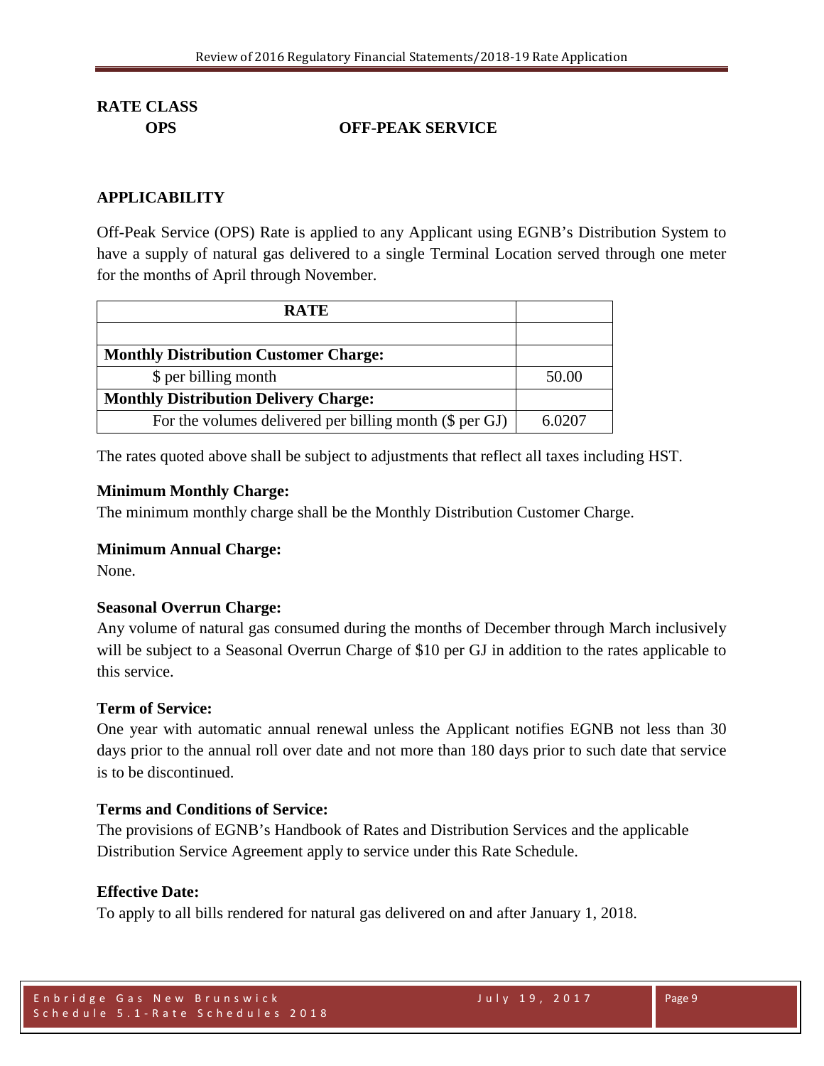## **OPS OFF-PEAK SERVICE**

## **APPLICABILITY**

Off-Peak Service (OPS) Rate is applied to any Applicant using EGNB's Distribution System to have a supply of natural gas delivered to a single Terminal Location served through one meter for the months of April through November.

| <b>RATE</b>                                             |        |
|---------------------------------------------------------|--------|
|                                                         |        |
| <b>Monthly Distribution Customer Charge:</b>            |        |
| \$ per billing month                                    | 50.00  |
| <b>Monthly Distribution Delivery Charge:</b>            |        |
| For the volumes delivered per billing month (\$ per GJ) | 6.0207 |

The rates quoted above shall be subject to adjustments that reflect all taxes including HST.

#### **Minimum Monthly Charge:**

The minimum monthly charge shall be the Monthly Distribution Customer Charge.

#### **Minimum Annual Charge:**

None.

#### **Seasonal Overrun Charge:**

Any volume of natural gas consumed during the months of December through March inclusively will be subject to a Seasonal Overrun Charge of \$10 per GJ in addition to the rates applicable to this service.

#### **Term of Service:**

One year with automatic annual renewal unless the Applicant notifies EGNB not less than 30 days prior to the annual roll over date and not more than 180 days prior to such date that service is to be discontinued.

#### **Terms and Conditions of Service:**

The provisions of EGNB's Handbook of Rates and Distribution Services and the applicable Distribution Service Agreement apply to service under this Rate Schedule.

#### **Effective Date:**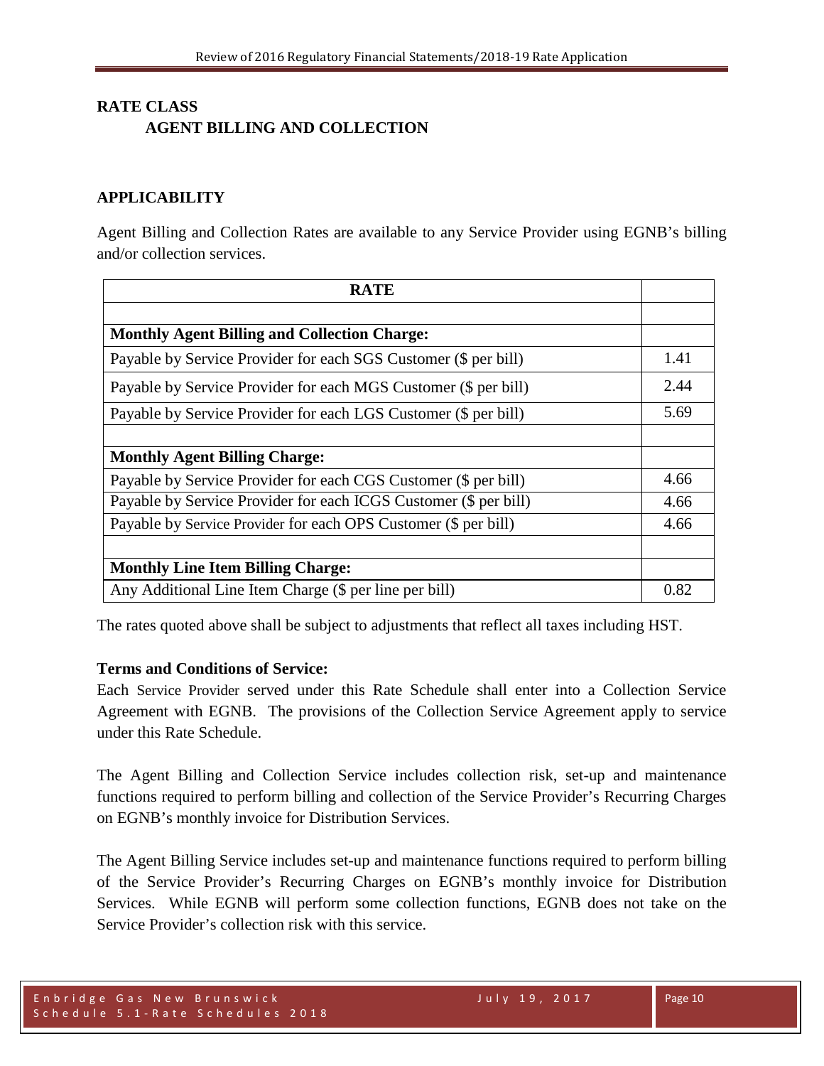## **RATE CLASS AGENT BILLING AND COLLECTION**

## **APPLICABILITY**

Agent Billing and Collection Rates are available to any Service Provider using EGNB's billing and/or collection services.

| <b>RATE</b>                                                      |      |
|------------------------------------------------------------------|------|
|                                                                  |      |
| <b>Monthly Agent Billing and Collection Charge:</b>              |      |
| Payable by Service Provider for each SGS Customer (\$ per bill)  | 1.41 |
| Payable by Service Provider for each MGS Customer (\$ per bill)  | 2.44 |
| Payable by Service Provider for each LGS Customer (\$ per bill)  | 5.69 |
|                                                                  |      |
| <b>Monthly Agent Billing Charge:</b>                             |      |
| Payable by Service Provider for each CGS Customer (\$ per bill)  | 4.66 |
| Payable by Service Provider for each ICGS Customer (\$ per bill) | 4.66 |
| Payable by Service Provider for each OPS Customer (\$ per bill)  | 4.66 |
|                                                                  |      |
| <b>Monthly Line Item Billing Charge:</b>                         |      |
| Any Additional Line Item Charge (\$ per line per bill)           | 0.82 |

The rates quoted above shall be subject to adjustments that reflect all taxes including HST.

#### **Terms and Conditions of Service:**

Each Service Provider served under this Rate Schedule shall enter into a Collection Service Agreement with EGNB. The provisions of the Collection Service Agreement apply to service under this Rate Schedule.

The Agent Billing and Collection Service includes collection risk, set-up and maintenance functions required to perform billing and collection of the Service Provider's Recurring Charges on EGNB's monthly invoice for Distribution Services.

The Agent Billing Service includes set-up and maintenance functions required to perform billing of the Service Provider's Recurring Charges on EGNB's monthly invoice for Distribution Services. While EGNB will perform some collection functions, EGNB does not take on the Service Provider's collection risk with this service.